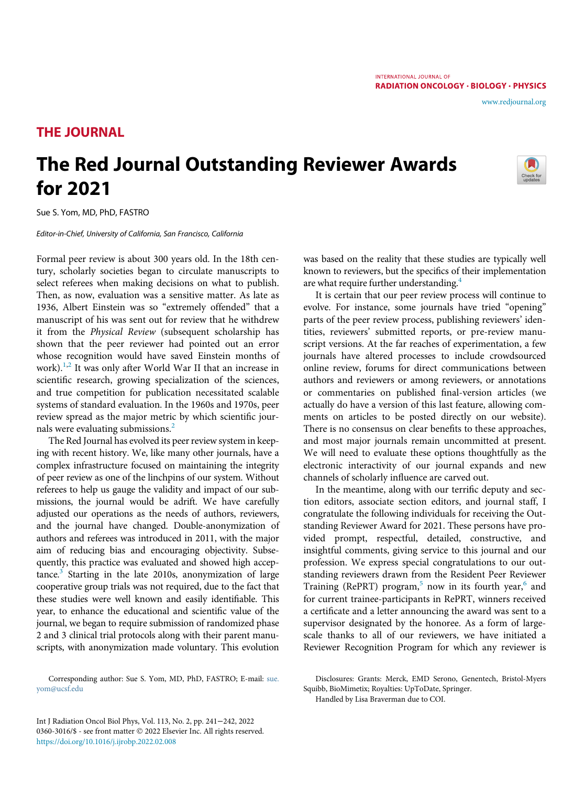RADIATION ONCOLOGY · BIOLOGY · PHYSICS

INTERNATIONAL JOURNAL OF

## THE JOURNAL

## The Red Journal Outstanding Reviewer Awards for 2021



[www.redjournal.org](http://www.redjournal.org)

Sue S. Yom, MD, PhD, FASTRO

Editor-in-Chief, University of California, San Francisco, California

Formal peer review is about 300 years old. In the 18th century, scholarly societies began to circulate manuscripts to select referees when making decisions on what to publish. Then, as now, evaluation was a sensitive matter. As late as 1936, Albert Einstein was so "extremely offended" that a manuscript of his was sent out for review that he withdrew it from the Physical Review (subsequent scholarship has shown that the peer reviewer had pointed out an error whose recognition would have saved Einstein months of work).<sup>[1](#page-1-0),[2](#page-1-1)</sup> It was only after World War II that an increase in scientific research, growing specialization of the sciences, and true competition for publication necessitated scalable systems of standard evaluation. In the 1960s and 1970s, peer review spread as the major metric by which scientific journals were evaluating submissions.[2](#page-1-1)

The Red Journal has evolved its peer review system in keeping with recent history. We, like many other journals, have a complex infrastructure focused on maintaining the integrity of peer review as one of the linchpins of our system. Without referees to help us gauge the validity and impact of our submissions, the journal would be adrift. We have carefully adjusted our operations as the needs of authors, reviewers, and the journal have changed. Double-anonymization of authors and referees was introduced in 2011, with the major aim of reducing bias and encouraging objectivity. Subsequently, this practice was evaluated and showed high accep- $tance<sup>3</sup>$  $tance<sup>3</sup>$  $tance<sup>3</sup>$  Starting in the late 2010s, anonymization of large cooperative group trials was not required, due to the fact that these studies were well known and easily identifiable. This year, to enhance the educational and scientific value of the journal, we began to require submission of randomized phase 2 and 3 clinical trial protocols along with their parent manuscripts, with anonymization made voluntary. This evolution

Corresponding author: Sue S. Yom, MD, PhD, FASTRO; E-mail: [sue.](mailto:sue.yom@ucsf.edu) [yom@ucsf.edu](mailto:sue.yom@ucsf.edu)

was based on the reality that these studies are typically well known to reviewers, but the specifics of their implementation are what require further understanding.<sup>4</sup>

It is certain that our peer review process will continue to evolve. For instance, some journals have tried "opening" parts of the peer review process, publishing reviewers' identities, reviewers' submitted reports, or pre-review manuscript versions. At the far reaches of experimentation, a few journals have altered processes to include crowdsourced online review, forums for direct communications between authors and reviewers or among reviewers, or annotations or commentaries on published final-version articles (we actually do have a version of this last feature, allowing comments on articles to be posted directly on our website). There is no consensus on clear benefits to these approaches, and most major journals remain uncommitted at present. We will need to evaluate these options thoughtfully as the electronic interactivity of our journal expands and new channels of scholarly influence are carved out.

In the meantime, along with our terrific deputy and section editors, associate section editors, and journal staff, I congratulate the following individuals for receiving the Outstanding Reviewer Award for 2021. These persons have provided prompt, respectful, detailed, constructive, and insightful comments, giving service to this journal and our profession. We express special congratulations to our outstanding reviewers drawn from the Resident Peer Reviewer Training (RePRT) program,<sup>[5](#page-1-4)</sup> now in its fourth year,<sup>[6](#page-1-5)</sup> and for current trainee-participants in RePRT, winners received a certificate and a letter announcing the award was sent to a supervisor designated by the honoree. As a form of largescale thanks to all of our reviewers, we have initiated a Reviewer Recognition Program for which any reviewer is

Handled by Lisa Braverman due to COI.

Int J Radiation Oncol Biol Phys, Vol. 113, No. 2, pp. 241−242, 2022 0360-3016/\$ - see front matter © 2022 Elsevier Inc. All rights reserved. <https://doi.org/10.1016/j.ijrobp.2022.02.008>

Disclosures: Grants: Merck, EMD Serono, Genentech, Bristol-Myers Squibb, BioMimetix; Royalties: UpToDate, Springer.